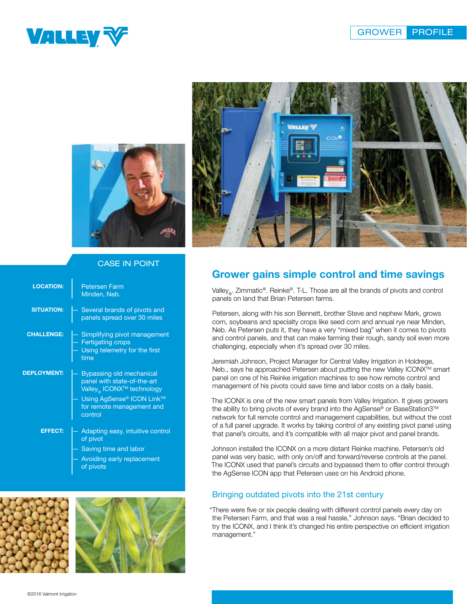





## CASE IN POINT

| <b>LOCATION:</b>   | <b>Petersen Farm</b><br>Minden, Neb.                                                                                                                                              |
|--------------------|-----------------------------------------------------------------------------------------------------------------------------------------------------------------------------------|
| <b>SITUATION:</b>  | - Several brands of pivots and<br>panels spread over 30 miles                                                                                                                     |
| <b>CHALLENGE:</b>  | - Simplifying pivot management<br>- Fertigating crops<br>Using telemetry for the first<br>time                                                                                    |
| <b>DEPLOYMENT:</b> | Bypassing old mechanical<br>panel with state-of-the-art<br>Valley <sub>®</sub> ICONX <sup>™</sup> technology<br>Using AgSense® ICON Link™<br>for remote management and<br>control |
| <b>EFFECT:</b>     | Adapting easy, intuitive control<br>of pivot<br>Saving time and labor<br>Avoiding early replacement<br>of pivots                                                                  |



## Grower gains simple control and time savings

Valley<sub>®</sub>. Zimmatic®. Reinke®. T-L. Those are all the brands of pivots and control panels on land that Brian Petersen farms.

Petersen, along with his son Bennett, brother Steve and nephew Mark, grows corn, soybeans and specialty crops like seed corn and annual rye near Minden, Neb. As Petersen puts it, they have a very "mixed bag" when it comes to pivots and control panels, and that can make farming their rough, sandy soil even more challenging, especially when it's spread over 30 miles.

Jeremiah Johnson, Project Manager for Central Valley Irrigation in Holdrege, Neb., says he approached Petersen about putting the new Valley ICONX™ smart panel on one of his Reinke irrigation machines to see how remote control and management of his pivots could save time and labor costs on a daily basis.

The ICONX is one of the new smart panels from Valley Irrigation. It gives growers the ability to bring pivots of every brand into the AgSense® or BaseStation3™ network for full remote control and management capabilities, but without the cost of a full panel upgrade. It works by taking control of any existing pivot panel using that panel's circuits, and it's compatible with all major pivot and panel brands.

Johnson installed the ICONX on a more distant Reinke machine. Petersen's old panel was very basic, with only on/off and forward/reverse controls at the panel. The ICONX used that panel's circuits and bypassed them to offer control through the AgSense ICON app that Petersen uses on his Android phone.

## Bringing outdated pivots into the 21st century

"There were five or six people dealing with different control panels every day on the Petersen Farm, and that was a real hassle," Johnson says. "Brian decided to try the ICONX, and I think it's changed his entire perspective on efficient irrigation management."